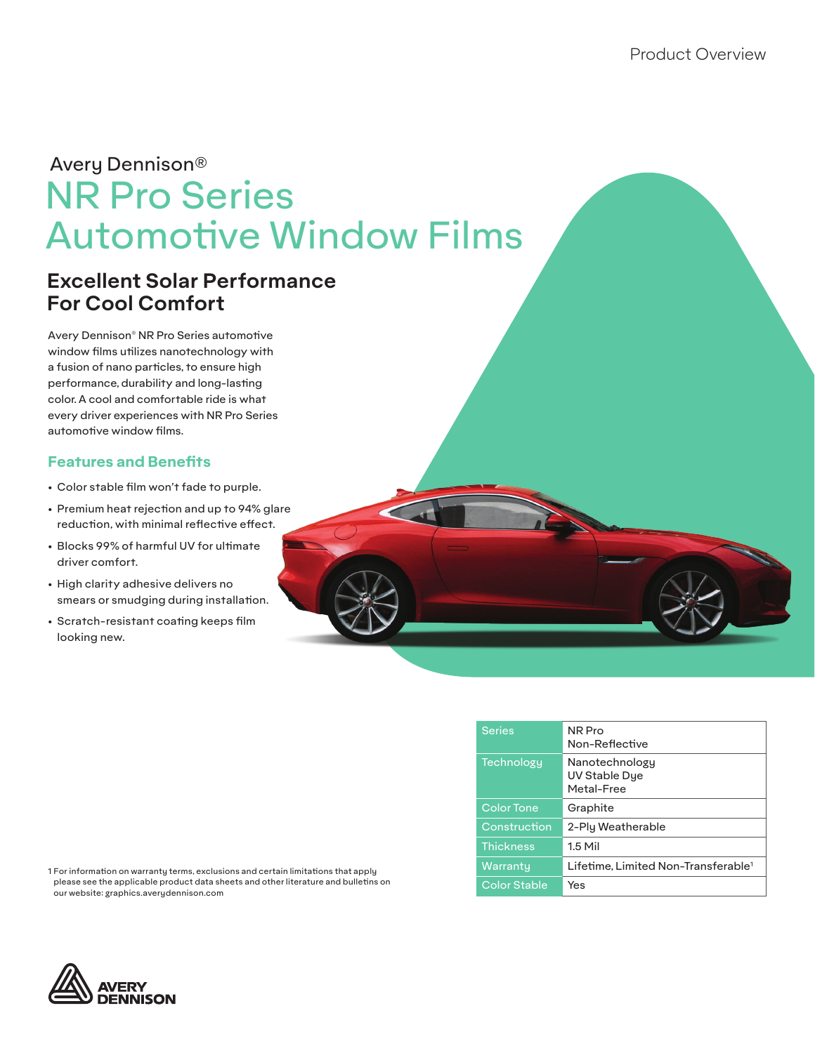# NR Pro Series Automotive Window Films Avery Dennison®

# **Excellent Solar Performance For Cool Comfort**

Avery Dennison® NR Pro Series automotive window films utilizes nanotechnology with a fusion of nano particles, to ensure high performance, durability and long-lasting color. A cool and comfortable ride is what every driver experiences with NR Pro Series automotive window films.

# **Features and Benefits**

- Color stable film won't fade to purple.
- Premium heat rejection and up to 94% glare reduction, with minimal reflective effect.
- Blocks 99% of harmful UV for ultimate driver comfort.
- High clarity adhesive delivers no smears or smudging during installation.
- Scratch-resistant coating keeps film looking new.

| <b>Series</b>       | NR Pro<br>Non-Reflective                        |
|---------------------|-------------------------------------------------|
| <b>Technology</b>   | Nanotechnology<br>UV Stable Dye<br>Metal-Free   |
| <b>Color Tone</b>   | Graphite                                        |
| Construction        | 2-Ply Weatherable                               |
| <b>Thickness</b>    | $1.5$ Mil                                       |
| Warranty            | Lifetime. Limited Non-Transferable <sup>1</sup> |
| <b>Color Stable</b> | Yes                                             |

1 For information on warranty terms, exclusions and certain limitations that apply please see the applicable product data sheets and other literature and bulletins on our website: graphics.averydennison.com